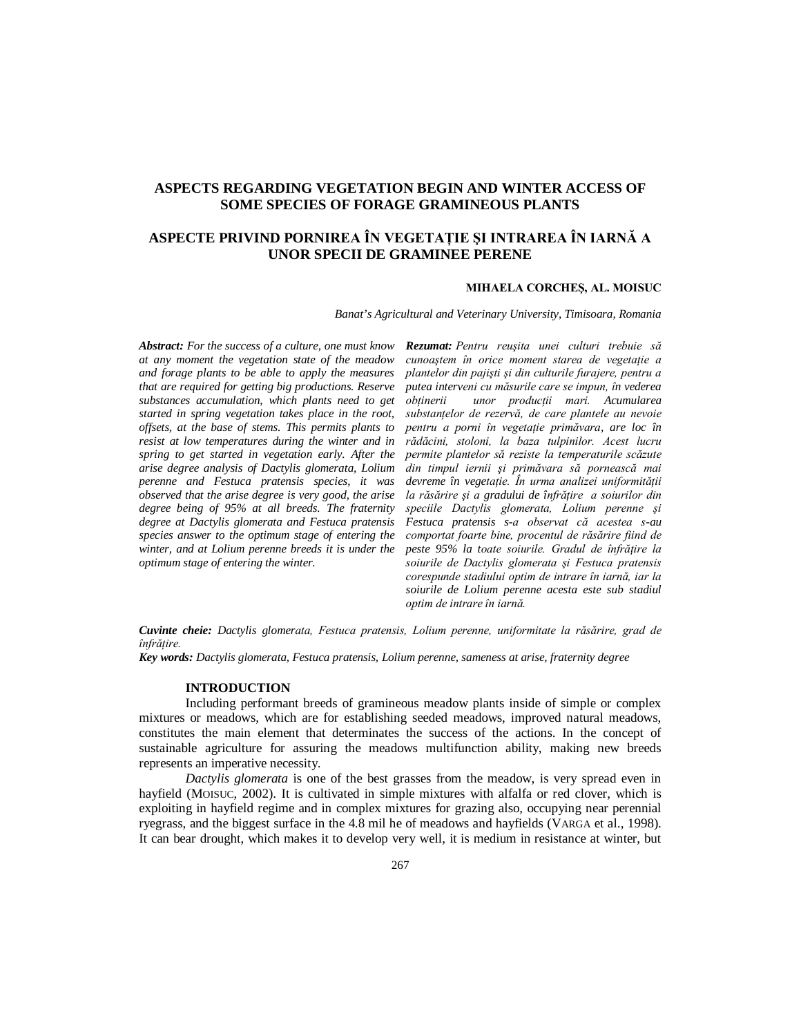## **ASPECTS REGARDING VEGETATION BEGIN AND WINTER ACCESS OF SOME SPECIES OF FORAGE GRAMINEOUS PLANTS**

# **ASPECTE PRIVIND PORNIREA ÎN VEGETAŢIE ŞI INTRAREA ÎN IARNĂ A UNOR SPECII DE GRAMINEE PERENE**

## **MIHAELA CORCHEŞ, AL. MOISUC**

*Banat's Agricultural and Veterinary University, Timisoara, Romania*

*Abstract: For the success of a culture, one must know at any moment the vegetation state of the meadow and forage plants to be able to apply the measures that are required for getting big productions. Reserve substances accumulation, which plants need to get started in spring vegetation takes place in the root, offsets, at the base of stems. This permits plants to resist at low temperatures during the winter and in spring to get started in vegetation early. After the arise degree analysis of Dactylis glomerata, Lolium perenne and Festuca pratensis species, it was observed that the arise degree is very good, the arise degree being of 95% at all breeds. The fraternity degree at Dactylis glomerata and Festuca pratensis species answer to the optimum stage of entering the winter, and at Lolium perenne breeds it is under the optimum stage of entering the winter.*

*Rezumat: Pentru reuşita unei culturi trebuie să cunoaştem în orice moment starea de vegetaţie a plantelor din pajişti şi din culturile furajere, pentru a putea interveni cu măsurile care se impun, în vederea obţinerii unor producţii mari. Acumularea substanţelor de rezervă, de care plantele au nevoie pentru a porni în vegetaţie primăvara, are loc în rădăcini, stoloni, la baza tulpinilor. Acest lucru permite plantelor să reziste la temperaturile scăzute din timpul iernii şi primăvara să pornească mai devreme în vegetaţie. În urma analizei uniformităţii la răsărire şi a gradului de înfrăţire a soiurilor din speciile Dactylis glomerata, Lolium perenne şi Festuca pratensis s-a observat că acestea s-au comportat foarte bine, procentul de răsărire fiind de peste 95% la toate soiurile. Gradul de înfrăţire la soiurile de Dactylis glomerata şi Festuca pratensis corespunde stadiului optim de intrare în iarnă, iar la soiurile de Lolium perenne acesta este sub stadiul optim de intrare în iarnă.*

*Cuvinte cheie: Dactylis glomerata, Festuca pratensis, Lolium perenne, uniformitate la răsărire, grad de înfrăţire.* 

*Key words: Dactylis glomerata, Festuca pratensis, Lolium perenne, sameness at arise, fraternity degree*

#### **INTRODUCTION**

Including performant breeds of gramineous meadow plants inside of simple or complex mixtures or meadows, which are for establishing seeded meadows, improved natural meadows, constitutes the main element that determinates the success of the actions. In the concept of sustainable agriculture for assuring the meadows multifunction ability, making new breeds represents an imperative necessity.

*Dactylis glomerata* is one of the best grasses from the meadow, is very spread even in hayfield (MOISUC, 2002). It is cultivated in simple mixtures with alfalfa or red clover, which is exploiting in hayfield regime and in complex mixtures for grazing also, occupying near perennial ryegrass, and the biggest surface in the 4.8 mil he of meadows and hayfields (VARGA et al., 1998). It can bear drought, which makes it to develop very well, it is medium in resistance at winter, but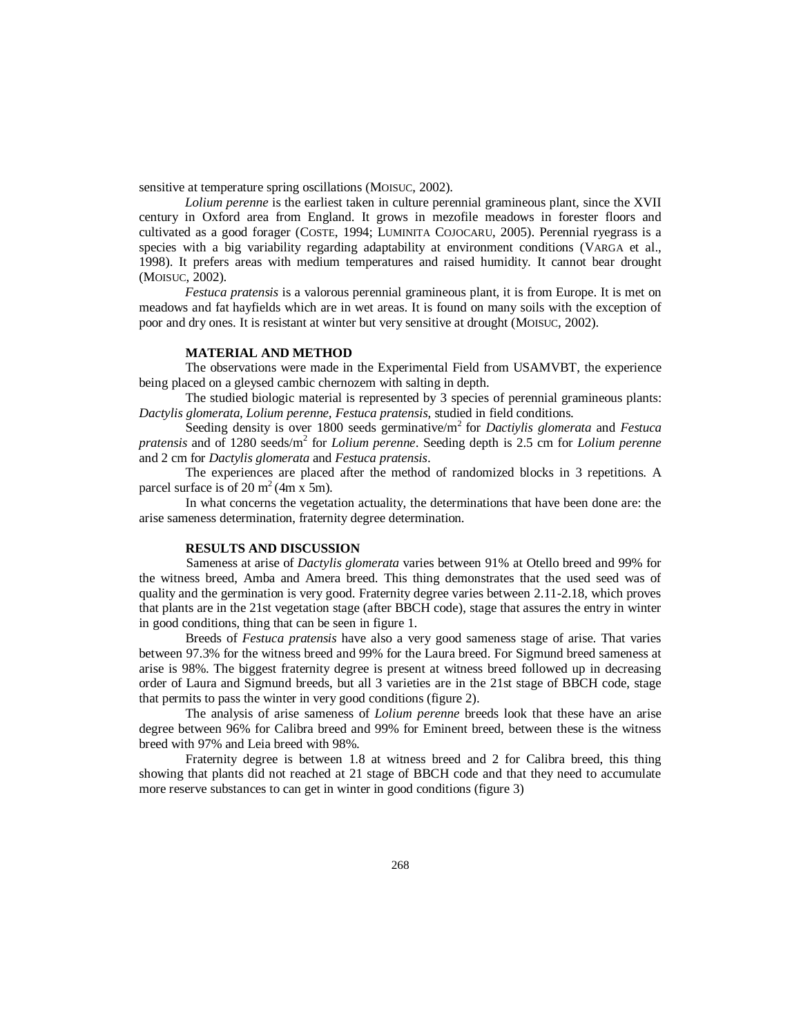sensitive at temperature spring oscillations (MOISUC, 2002).

*Lolium perenne* is the earliest taken in culture perennial gramineous plant, since the XVII century in Oxford area from England. It grows in mezofile meadows in forester floors and cultivated as a good forager (COSTE, 1994; LUMINITA COJOCARU, 2005). Perennial ryegrass is a species with a big variability regarding adaptability at environment conditions (VARGA et al., 1998). It prefers areas with medium temperatures and raised humidity. It cannot bear drought (MOISUC, 2002).

*Festuca pratensis* is a valorous perennial gramineous plant, it is from Europe. It is met on meadows and fat hayfields which are in wet areas. It is found on many soils with the exception of poor and dry ones. It is resistant at winter but very sensitive at drought (MOISUC, 2002).

### **MATERIAL AND METHOD**

The observations were made in the Experimental Field from USAMVBT, the experience being placed on a gleysed cambic chernozem with salting in depth.

The studied biologic material is represented by 3 species of perennial gramineous plants: *Dactylis glomerata, Lolium perenne, Festuca pratensis*, studied in field conditions.

Seeding density is over 1800 seeds germinative/m<sup>2</sup> for *Dactiviis glomerata* and *Festuca* pratensis and of 1280 seeds/m<sup>2</sup> for *Lolium perenne*. Seeding depth is 2.5 cm for *Lolium perenne* and 2 cm for *Dactylis glomerata* and *Festuca pratensis*.

The experiences are placed after the method of randomized blocks in 3 repetitions. A parcel surface is of 20  $m<sup>2</sup>(4m x 5m)$ .

In what concerns the vegetation actuality, the determinations that have been done are: the arise sameness determination, fraternity degree determination.

#### **RESULTS AND DISCUSSION**

Sameness at arise of *Dactylis glomerata* varies between 91% at Otello breed and 99% for the witness breed, Amba and Amera breed. This thing demonstrates that the used seed was of quality and the germination is very good. Fraternity degree varies between 2.11-2.18, which proves that plants are in the 21st vegetation stage (after BBCH code), stage that assures the entry in winter in good conditions, thing that can be seen in figure 1.

Breeds of *Festuca pratensis* have also a very good sameness stage of arise. That varies between 97.3% for the witness breed and 99% for the Laura breed. For Sigmund breed sameness at arise is 98%. The biggest fraternity degree is present at witness breed followed up in decreasing order of Laura and Sigmund breeds, but all 3 varieties are in the 21st stage of BBCH code, stage that permits to pass the winter in very good conditions (figure 2).

The analysis of arise sameness of *Lolium perenne* breeds look that these have an arise degree between 96% for Calibra breed and 99% for Eminent breed, between these is the witness breed with 97% and Leia breed with 98%.

Fraternity degree is between 1.8 at witness breed and 2 for Calibra breed, this thing showing that plants did not reached at 21 stage of BBCH code and that they need to accumulate more reserve substances to can get in winter in good conditions (figure 3)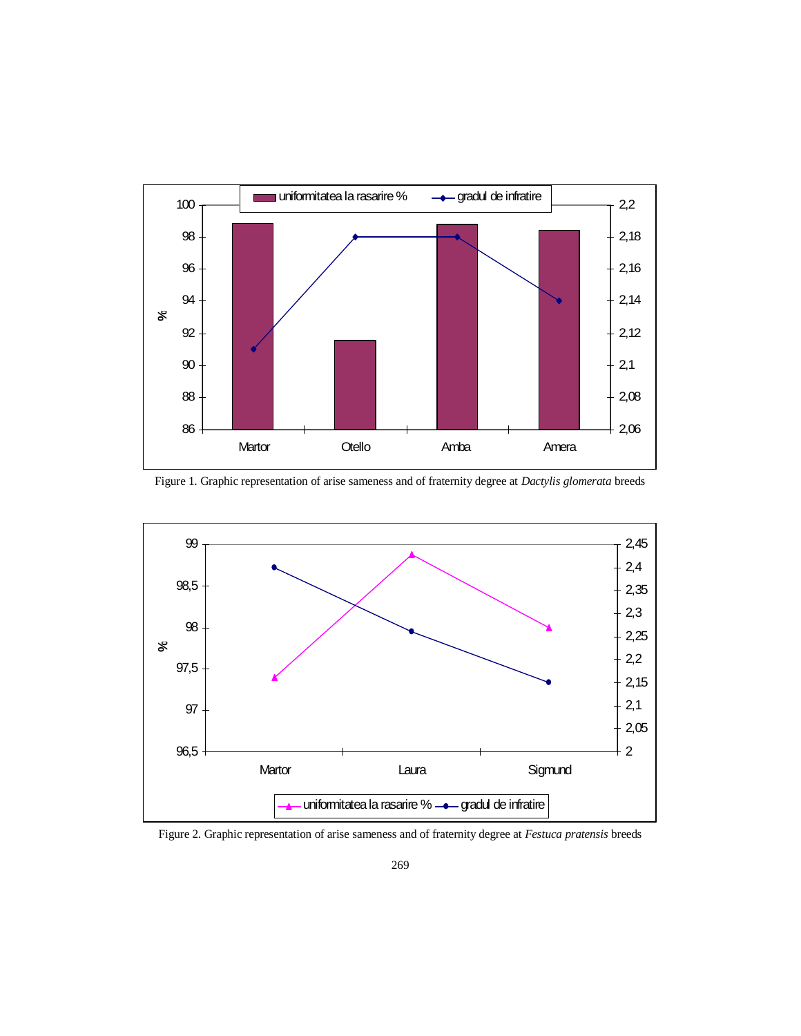

Figure 1. Graphic representation of arise sameness and of fraternity degree at *Dactylis glomerata* breeds



Figure 2. Graphic representation of arise sameness and of fraternity degree at *Festuca pratensis* breeds